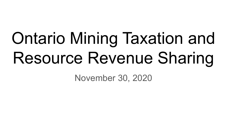# Ontario Mining Taxation and Resource Revenue Sharing

November 30, 2020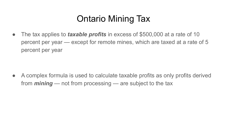# Ontario Mining Tax

● The tax applies to *taxable profits* in excess of \$500,000 at a rate of 10 percent per year — except for remote mines, which are taxed at a rate of 5 percent per year

● A complex formula is used to calculate taxable profits as only profits derived from *mining* — not from processing — are subject to the tax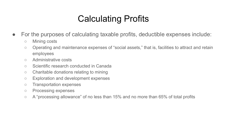# Calculating Profits

- For the purposes of calculating taxable profits, deductible expenses include:
	- Mining costs
	- Operating and maintenance expenses of "social assets," that is, facilities to attract and retain employees
	- Administrative costs
	- Scientific research conducted in Canada
	- Charitable donations relating to mining
	- Exploration and development expenses
	- Transportation expenses
	- Processing expenses
	- A "processing allowance" of no less than 15% and no more than 65% of total profits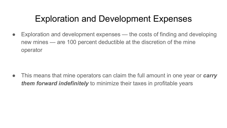# Exploration and Development Expenses

• Exploration and development expenses — the costs of finding and developing new mines — are 100 percent deductible at the discretion of the mine operator

● This means that mine operators can claim the full amount in one year or *carry them forward indefinitely* to minimize their taxes in profitable years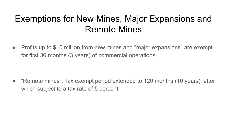# Exemptions for New Mines, Major Expansions and Remote Mines

• Profits up to \$10 million from new mines and "major expansions" are exempt for first 36 months (3 years) of commercial operations

● "Remote mines": Tax exempt period extended to 120 months (10 years), after which subject to a tax rate of 5 percent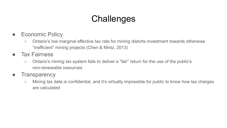# **Challenges**

- Economic Policy
	- Ontario's low marginal effective tax rate for mining distorts investment towards otherwise "inefficient" mining projects (Chen & Mintz, 2013)
- Tax Fairness
	- Ontario's mining tax system fails to deliver a "fair" return for the use of the public's non-renewable resources
- Transparency
	- Mining tax data is confidential, and it's virtually impossible for public to know how tax charges are calculated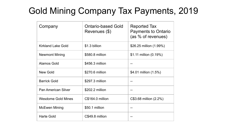# Gold Mining Company Tax Payments, 2019

| Company                    | <b>Ontario-based Gold</b><br>Revenues (\$) | <b>Reported Tax</b><br><b>Payments to Ontario</b><br>(as % of revenues) |
|----------------------------|--------------------------------------------|-------------------------------------------------------------------------|
| Kirkland Lake Gold         | \$1.3 billion                              | \$26.25 million (1.99%)                                                 |
| <b>Newmont Mining</b>      | \$580.8 million                            | \$1.11 million (0.19%)                                                  |
| Alamos Gold                | \$456.3 million                            |                                                                         |
| New Gold                   | \$270.6 million                            | \$4.01 million (1.5%)                                                   |
| <b>Barrick Gold</b>        | \$297.3 million                            |                                                                         |
| <b>Pan American Silver</b> | \$202.2 million                            |                                                                         |
| <b>Wesdome Gold Mines</b>  | C\$164.0 million                           | C\$3.68 million (2.2%)                                                  |
| <b>McEwen Mining</b>       | \$50.1 million                             |                                                                         |
| <b>Harte Gold</b>          | C\$49.8 million                            |                                                                         |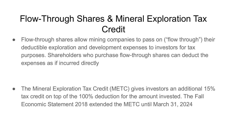# Flow-Through Shares & Mineral Exploration Tax **Credit**

• Flow-through shares allow mining companies to pass on ("flow through") their deductible exploration and development expenses to investors for tax purposes. Shareholders who purchase flow-through shares can deduct the expenses as if incurred directly

• The Mineral Exploration Tax Credit (METC) gives investors an additional 15% tax credit on top of the 100% deduction for the amount invested. The Fall Economic Statement 2018 extended the METC until March 31, 2024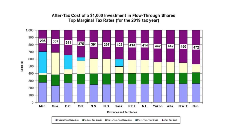

#### After-Tax Cost of a \$1,000 Investment in Flow-Through Shares Top Marginal Tax Rates (for the 2019 tax year)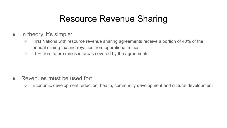#### Resource Revenue Sharing

- In theory, it's simple:
	- First Nations with resource revenue sharing agreements receive a portion of 40% of the annual mining tax and royalties from operational mines
	- 45% from future mines in areas covered by the agreements

- Revenues must be used for:
	- Economic development, eduction, health, community development and cultural development